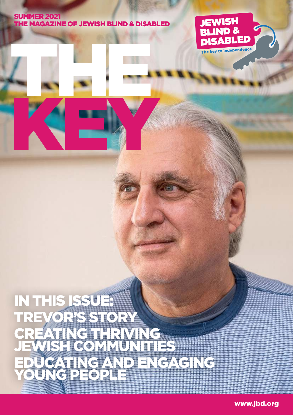#### **SUMMER 2021** THE MAGAZINE OF JEWISH BLIND & DISABLED

THE

KEY



## IN THIS ISSUE! TREVOR'S STORY NG *Camm*ing JEWISH COMMUNITIES TING AND ENGAGING YOUNG PEOPLE

www.jbd.org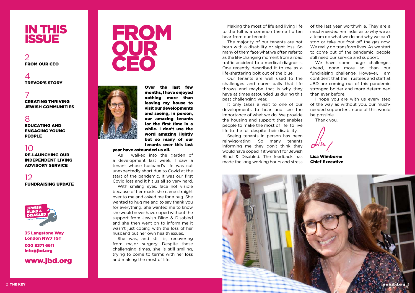## IN THIS **ISSUE**





Over the last few months, I have enjoyed nothing more than leaving my house to visit our developments and seeing, in person, our amazing tenants for the first time in a while. I don't use the word amazing lightly but so many of our tenants over this last

#### year have astounded us all.

 As I walked into the garden of a development last week, I saw a tenant whose husband's life was cut unexpectedly short due to Covid at the start of the pandemic. It was our first Covid loss and it hit us all so very hard.

 With smiling eyes, face not visible because of her mask, she came straight over to me and asked me for a hug. She wanted to hug me and to say thank you for everything. She wanted me to know she would never have coped without the support from Jewish Blind & Disabled and she then went on to inform me it wasn't just coping with the loss of her husband but her own health issues.

 She was, and still is, recovering from major surgery. Despite these challenging times, she is still smiling, trying to come to terms with her loss and making the most of life.

 Making the most of life and living life to the full is a common theme I often hear from our tenants.

> We have some huge challenges ahead, none more so than our fundraising challenge. However, I am confident that the Trustees and staff at JBD are coming out of this pandemic stronger, bolder and more determined than ever before.

 The majority of our tenants are not born with a disability or sight loss. So many of them face what we often refer to as the life-changing moment from a road traffic accident to a medical diagnosis. One recently described it to me as a life-shattering bolt out of the blue.

> I hope you are with us every step of the way as without you, our muchneeded supporters, none of this would be possible.

 $\Delta$ TREVOR'S STORY

 Our tenants are well used to the challenges and curve balls that life throws and maybe that is why they have at times astounded us during this past challenging year.

 It only takes a visit to one of our developments to hear and see the importance of what we do. We provide the housing and support that enables people to make the most of life, to live life to the full despite their disability.

 Seeing tenants in person has been reinvigorating. So many tenants informing me they don't think they would have coped if it weren't for Jewish Blind & Disabled. The feedback has made the long working hours and stress

of the last year worthwhile. They are a much-needed reminder as to why we as a team do what we do and why we can't stop or take our foot off the gas now. We really do transform lives. As we start to come out of the pandemic, people still need our service and support.

Thank you.

Lisa Wimborne Chief Executive



7 CREATING THRIVING JEWISH COMMUNITIES

### 8

EDUCATING AND ENGAGING YOUNG PEOPLE

## 10

RE-LAUNCHING OUR INDEPENDENT LIVING ADVISORY SERVICE

12 FUNDRAISING UPDATE



#### 35 Langstone Way London NW7 1GT

020 8371 6611 info@jbd.org

## www.jbd.org

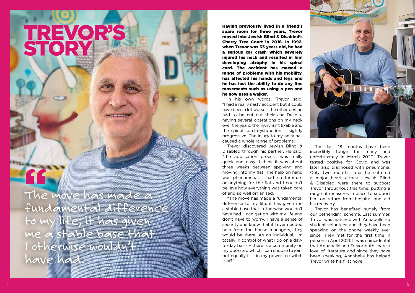TREVOR'S

STORY

Having previously lived in a friend's spare room for three years, Trevor moved into Jewish Blind & Disabled's Cherry Tree Court in 2018. In 1992, when Trevor was 33 years old, he had a serious car crash which severely injured his neck and resulted in him developing atrophy in his spinal cord. The accident has caused a range of problems with his mobility, has affected his hands and legs and he has lost the ability to do any fine movements such as using a pen and he now uses a walker.

 In his own words, Trevor said: "I had a really nasty accident but it could have been a lot worse – the other person had to be cut out their car. Despite having several operations on my neck over the years, the injury isn't fixable and the spinal cord dysfunction is sightly progressive. The injury to my neck has caused a whole range of problems."

 Trevor discovered Jewish Blind & Disabled through his partner. He said: "the application process was really quick and easy; I think it was about three weeks between applying and moving into my flat. The help on hand was phenomenal. I had no furniture or anything for the flat and I couldn't believe how everything was taken care of and so well organised."

# 11<br>The The move has made a fundamental difference to my life; it has given me a stable base that I otherwise wouldn't have had.

 "The move has made a fundamental difference to my life; it has given me a stable base that I otherwise wouldn't have had. I can get on with my life and don't have to worry. I have a sense of security and know that if I ever needed help from the house managers, they would be there. As an individual, I'm totally in control of what I do on a dayto-day basis – there is a community on my doorstep which I can choose to join, but equally it is in my power to switch it off." him on return from hospital and aid his recovery. Trevor has benefited hugely from our befriending scheme. Last summer, Trevor was matched with Annabelle – a student volunteer, and they have been speaking on the phone weekly ever since. They met for the first time in person in April 2021. It was coincidental that Annabelle and Trevor both share a love of literature and since they have been speaking, Annabelle has helped Trevor write his first novel.

 $4$  The Key wave set  $5$ 



 The last 18 months have been incredibly tough for many and unfortunately in March 2020, Trevor tested positive for Covid and was later also diagnosed with pneumonia. Only two months later he suffered a major heart attack. Jewish Blind & Disabled were there to support Trevor throughout this time, putting a range of measures in place to support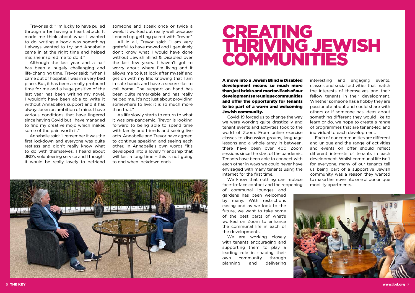Trevor said: "I'm lucky to have pulled through after having a heart attack. It made me think about what I wanted to do…writing a book was something I always wanted to try and Annabelle came in at the right time and helped me; she inspired me to do it."

 Although the last year and a half has been a hugely challenging and life-changing time, Trevor said: "when I came out of hospital, I was in a very bad place. But, it has been a really profound time for me and a huge positive of the last year has been writing my novel. I wouldn't have been able to write it without Annabelle's support and it has always been an ambition of mine. I have various conditions that have lingered since having Covid but I have managed to find my creative mojo which makes some of the pain worth it."

 All in all, Trevor said: "I am very grateful to have moved and I genuinely don't know what I would have done without Jewish Blind & Disabled over the last few years. I haven't got to worry about where I'm living and it allows me to just look after myself and get on with my life; knowing that I am in safe hands and have a secure flat to call home. The support on hand has been quite remarkable and has really helped me. It's not just about providing somewhere to live; it is so much more than that"

 Annabelle said: "I remember it was the first lockdown and everyone was quite restless and didn't really know what to do with themselves. I heard about JBD's volunteering service and I thought it would be really lovely to befriend

someone and speak once or twice a week. It worked out really well because I ended up getting paired with Trevor."

> We know that nothing can replace face-to-face contact and the reopening

 As life slowly starts to return to what it was pre-pandemic, Trevor is looking forward to being able to spend time with family and friends and seeing live acts. Annabelle and Trevor have agreed to continue speaking and seeing each other. In Annabelle's own words "it's developed into a lovely friendship that will last a long time - this is not going to end when lockdown ends."



A move into a Jewish Blind & Disabled development means so much more than just bricks and mortar. Each of our developments are unique communities and offer the opportunity for tenants to be part of a warm and welcoming Jewish community.

 Covid-19 forced us to change the way we were working quite drastically and tenant events and activities took to the world of Zoom. From online exercise classes to discussion groups, language lessons and a whole array in between, there have been over 400 Zoom sessions since the start of the pandemic. Tenants have been able to connect with each other in ways we could never have envisaged with many tenants using the internet for the first time.

of communal lounges and gardens has been welcomed by many. With restrictions easing and as we look to the future, we want to take some of the best parts of what's worked on Zoom to enhance the communal life in each of the developments.

 We are working closely with tenants encouraging and supporting them to play a leading role in shaping their own community through planning and delivering



interesting and engaging events, classes and social activities that match the interests of themselves and their fellow tenants in their development. Whether someone has a hobby they are passionate about and could share with others or if someone has ideas about something different they would like to learn or do, we hope to create a range of programmes that are tenant-led and individual to each development.

 Each of our communities are different and unique and the range of activities and events on offer should reflect different interests of tenants in each development. Whilst communal life isn't for everyone, many of our tenants tell us being part of a supportive Jewish community was a reason they wanted to make the move into one of our unique mobility apartments.



# CREATING THRIVING JEWISH COMMUNITIES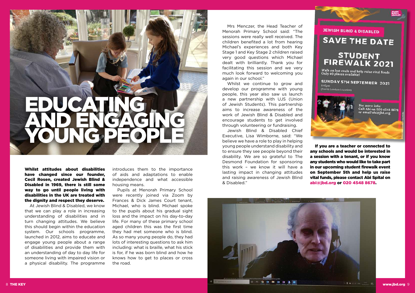



 Mrs Menczer, the Head Teacher of Menorah Primary School said: "The sessions were really well received. The children benefited a lot from hearing Michael's experiences and both Key Stage 1 and Key Stage 2 children raised very good questions which Michael dealt with brilliantly. Thank you for facilitating this session and we very much look forward to welcoming you again in our school."

 Whilst we continue to grow and develop our programme with young people, this year also saw us launch a new partnership with UJS (Union of Jewish Students). This partnership aims to increase awareness of the work of Jewish Blind & Disabled and encourage students to get involved through volunteering or fundraising.

 Jewish Blind & Disabled Chief Executive, Lisa Wimborne, said: "We believe we have a role to play in helping young people understand disability and to ensure they see people beyond their disability. We are so grateful to The Desmond Foundation for sponsoring this work – we know it will have a lasting impact in changing attitudes and raising awareness of Jewish Blind & Disabled."

 If you are a teacher or connected to any schools and would be interested in a session with a tenant, or if you know any students who would like to take part in our upcoming student firewalk event on September 5th and help us raise vital funds, please contact Abi Spital on abi@jbd.org or 020 4548 8678.

# EDUCATING AND ENGAGING YOUNG PEOPLE

Whilst attitudes about disabilities have changed since our founder, Cecil Rosen, created Jewish Blind & Disabled in 1969, there is still some way to go until people living with disabilities in the UK are treated with the dignity and respect they deserve.

 At Jewish Blind & Disabled, we know that we can play a role in increasing understanding of disabilities and in turn changing attitudes. We believe this should begin within the education system. Our schools programme, launched in 2012, aims to educate and engage young people about a range of disabilities and provide them with an understanding of day to day life for someone living with impaired vision or a physical disability. The programme introduces them to the importance of aids and adaptations to enable independence and what accessible housing means.

 Pupils at Menorah Primary School were recently joined via Zoom by Frances & Dick James Court tenant, Michael, who is blind. Michael spoke to the pupils about his gradual sight loss and the impact on his day-to-day life. For many of these primary school aged children this was the first time they had met someone who is blind. As so many young people do, they had lots of interesting questions to ask him including: what is braille, what his stick is for, if he was born blind and how he knows how to get to places or cross the road.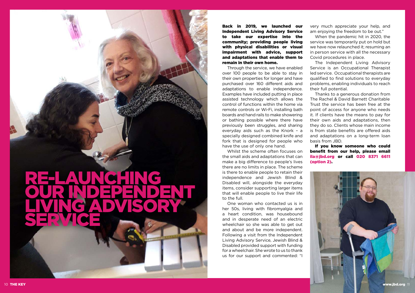Back in 2019, we launched our Independent Living Advisory Service to take our expertise into the community; providing people living with physical disabilities or visual impairment with advice, support and adaptations that enable them to remain in their own home.

 Through the service, we have enabled over 100 people to be able to stay in their own properties for longer and have purchased over 160 different aids and adaptations to enable independence. Examples have included putting in place assisted technology which allows the control of functions within the home via remote controls or Wi-Fi, installing bath boards and hand rails to make showering or bathing possible where there have previously been struggles, and sharing everyday aids such as the Knork – a specially designed combined knife and fork that is designed for people who have the use of only one hand.

 Whilst the scheme often focuses on the small aids and adaptations that can make a big difference to people's lives there are no limits in place. The scheme is there to enable people to retain their independence and Jewish Blind & Disabled will, alongside the everyday items, consider supporting larger items that will enable people to live their life to the full.

 One woman who contacted us is in her 50s, living with fibromyalgia and a heart condition, was housebound and in desperate need of an electric wheelchair so she was able to get out and about and be more independent. Following a visit from the Independent Living Advisory Service, Jewish Blind & Disabled provided support with funding for a wheelchair. She wrote to us to thank us for our support and commented: "I very much appreciate your help, and am enjoying the freedom to be out."

 When the pandemic hit in 2020, the service was temporarily put on hold but we have now relaunched it; resuming an in person service with all the necessary Covid procedures in place.

 The Independent Living Advisory Service is an Occupational Therapist led service. Occupational therapists are qualified to find solutions to everyday problems, enabling individuals to reach their full potential.

 Thanks to a generous donation from The Rachel & David Barnett Charitable Trust the service has been free at the point of access for anyone who needs it. If clients have the means to pay for their own aids and adaptations, then they do so. Clients whose main income is from state benefits are offered aids and adaptations on a long-term loan basis from JBD.

 If you know someone who could benefit from our help, please email ila@jbd.org or call 020 8371 6611 (option 2).